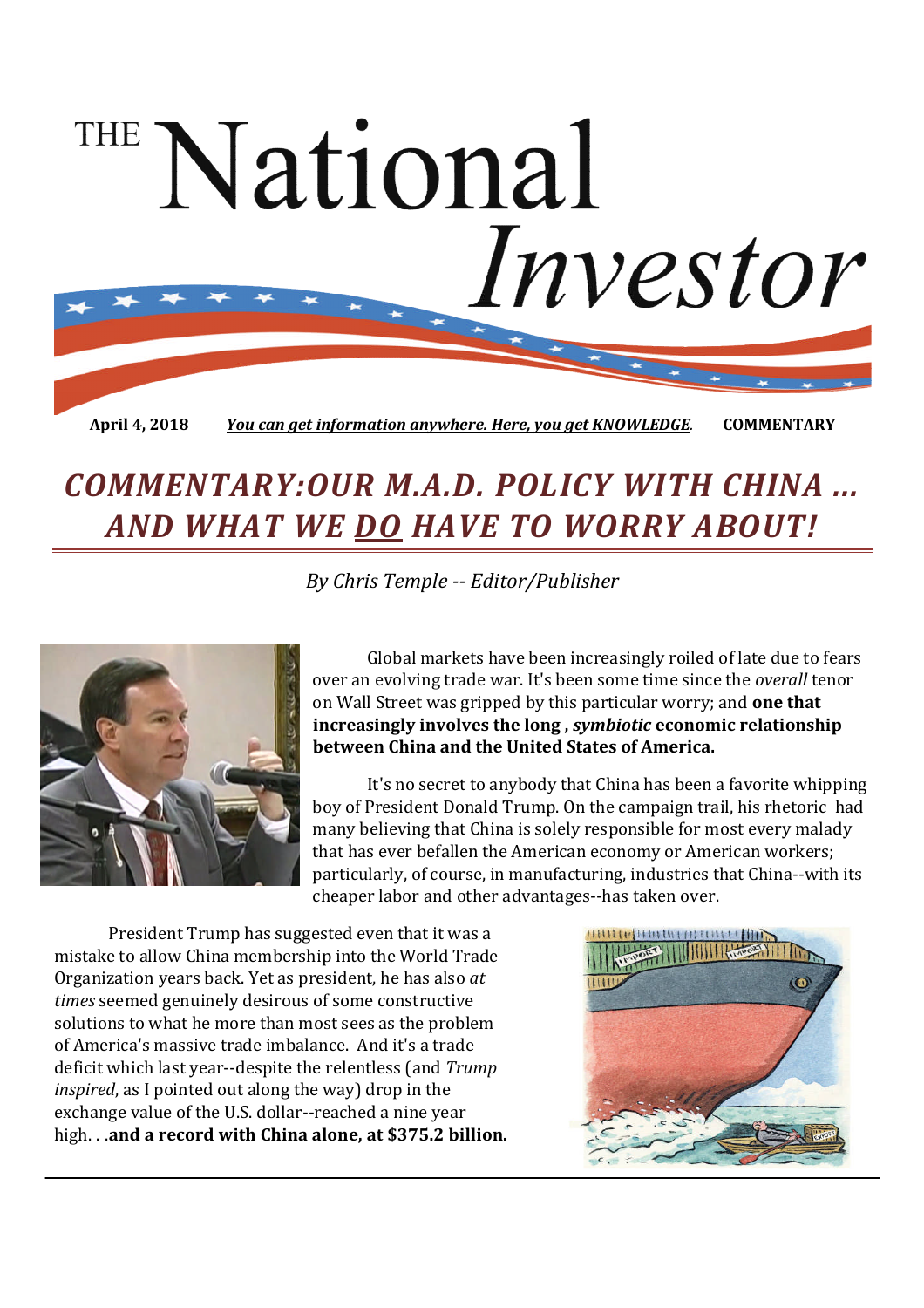# National Investor

**April 4, 2018** *You can get information anywhere. Here, you get KNOWLEDGE.* **COMMENTARY**

# *COMMENTARY:OUR M.A.D. POLICY WITH CHINA ... AND WHAT WE DO HAVE TO WORRY ABOUT!*

*By Chris Temple -- Editor/Publisher*



Global markets have been increasingly roiled of late due to fears over an evolving trade war. It's been some time since the *overall* tenor on Wall Street was gripped by this particular worry; and **one that increasingly involves the long ,** *symbiotic* **economic relationship between China and the United States of America.**

It's no secret to anybody that China has been a favorite whipping boy of President Donald Trump. On the campaign trail, his rhetoric had many believing that China is solely responsible for most every malady that has ever befallen the American economy or American workers; particularly, of course, in manufacturing, industries that China--with its cheaper labor and other advantages--has taken over.

President Trump has suggested even that it was a mistake to allow China membership into the World Trade Organization years back. Yet as president, he has also *at times* seemed genuinely desirous of some constructive solutions to what he more than most sees as the problem of America's massive trade imbalance. And it's a trade deficit which last year--despite the relentless (and *Trump inspired*, as I pointed out along the way) drop in the exchange value of the U.S. dollar--reached a nine year high. . .**and a record with China alone, at \$375.2 billion.**

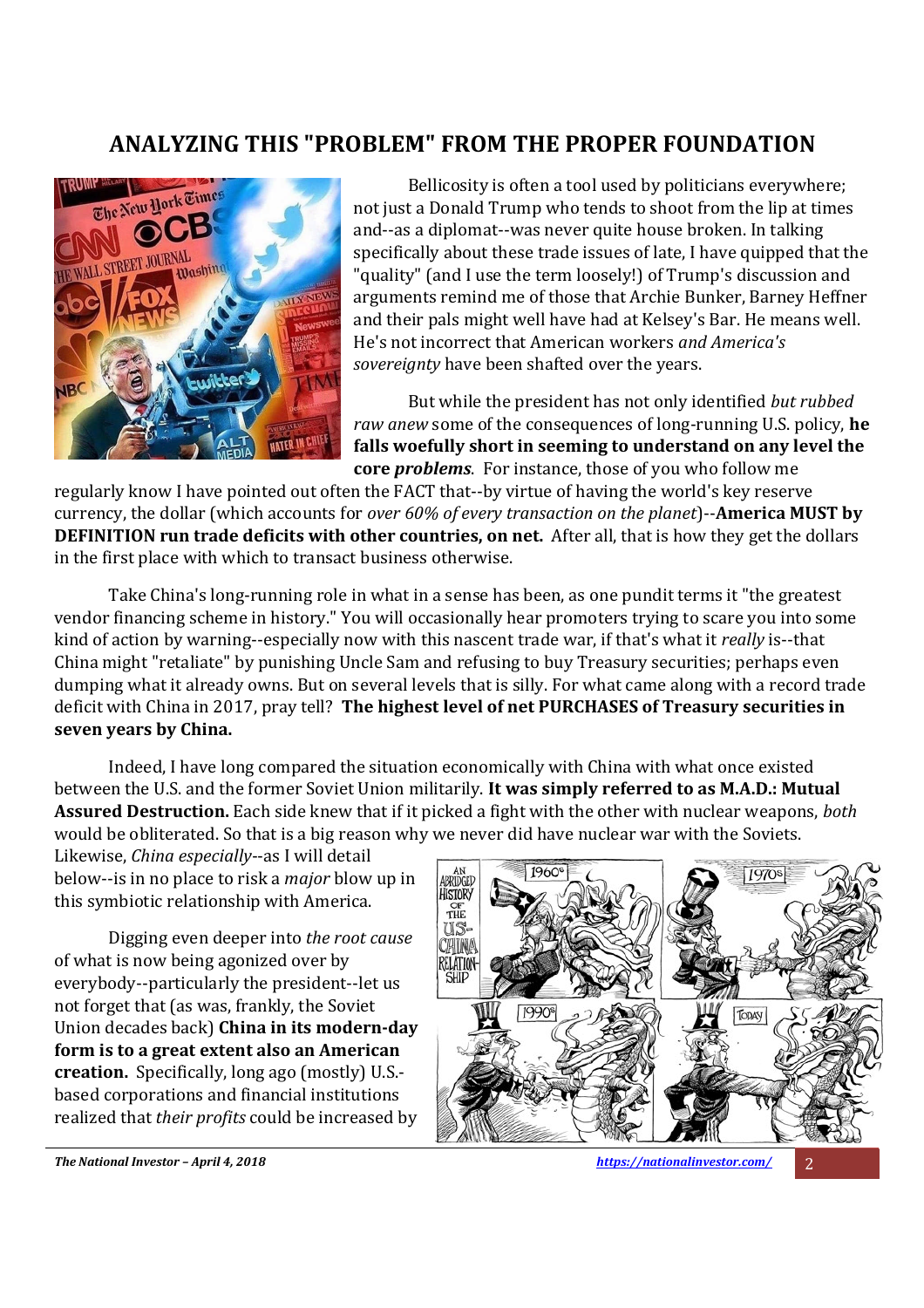#### **ANALYZING THIS "PROBLEM" FROM THE PROPER FOUNDATION**



Bellicosity is often a tool used by politicians everywhere; not just a Donald Trump who tends to shoot from the lip at times and--as a diplomat--was never quite house broken. In talking specifically about these trade issues of late, I have quipped that the "quality" (and I use the term loosely!) of Trump's discussion and arguments remind me of those that Archie Bunker, Barney Heffner and their pals might well have had at Kelsey's Bar. He means well. He's not incorrect that American workers *and America's sovereignty* have been shafted over the years.

But while the president has not only identified *but rubbed raw anew* some of the consequences of long-running U.S. policy, **he falls woefully short in seeming to understand on any level the core** *problems*. For instance, those of you who follow me

regularly know I have pointed out often the FACT that--by virtue of having the world's key reserve currency, the dollar (which accounts for *over 60% of every transaction on the planet*)--**America MUST by DEFINITION run trade deficits with other countries, on net.** After all, that is how they get the dollars in the first place with which to transact business otherwise.

Take China's long-running role in what in a sense has been, as one pundit terms it "the greatest vendor financing scheme in history." You will occasionally hear promoters trying to scare you into some kind of action by warning--especially now with this nascent trade war, if that's what it *really* is--that China might "retaliate" by punishing Uncle Sam and refusing to buy Treasury securities; perhaps even dumping what it already owns. But on several levels that is silly. For what came along with a record trade deficit with China in 2017, pray tell? **The highest level of net PURCHASES of Treasury securities in seven years by China.**

Indeed, I have long compared the situation economically with China with what once existed between the U.S. and the former Soviet Union militarily. **It was simply referred to as M.A.D.: Mutual Assured Destruction.** Each side knew that if it picked a fight with the other with nuclear weapons, *both* would be obliterated. So that is a big reason why we never did have nuclear war with the Soviets.

Likewise, *China especially*--as I will detail below--is in no place to risk a *major* blow up in this symbiotic relationship with America.

Digging even deeper into *the root cause* of what is now being agonized over by everybody--particularly the president--let us not forget that (as was, frankly, the Soviet Union decades back) **China in its modern-day form is to a great extent also an American creation.** Specifically, long ago (mostly) U.S. based corporations and financial institutions realized that *their profits* could be increased by



*The National Investor – April 4, 2018 https://nationalinvestor.com/* 2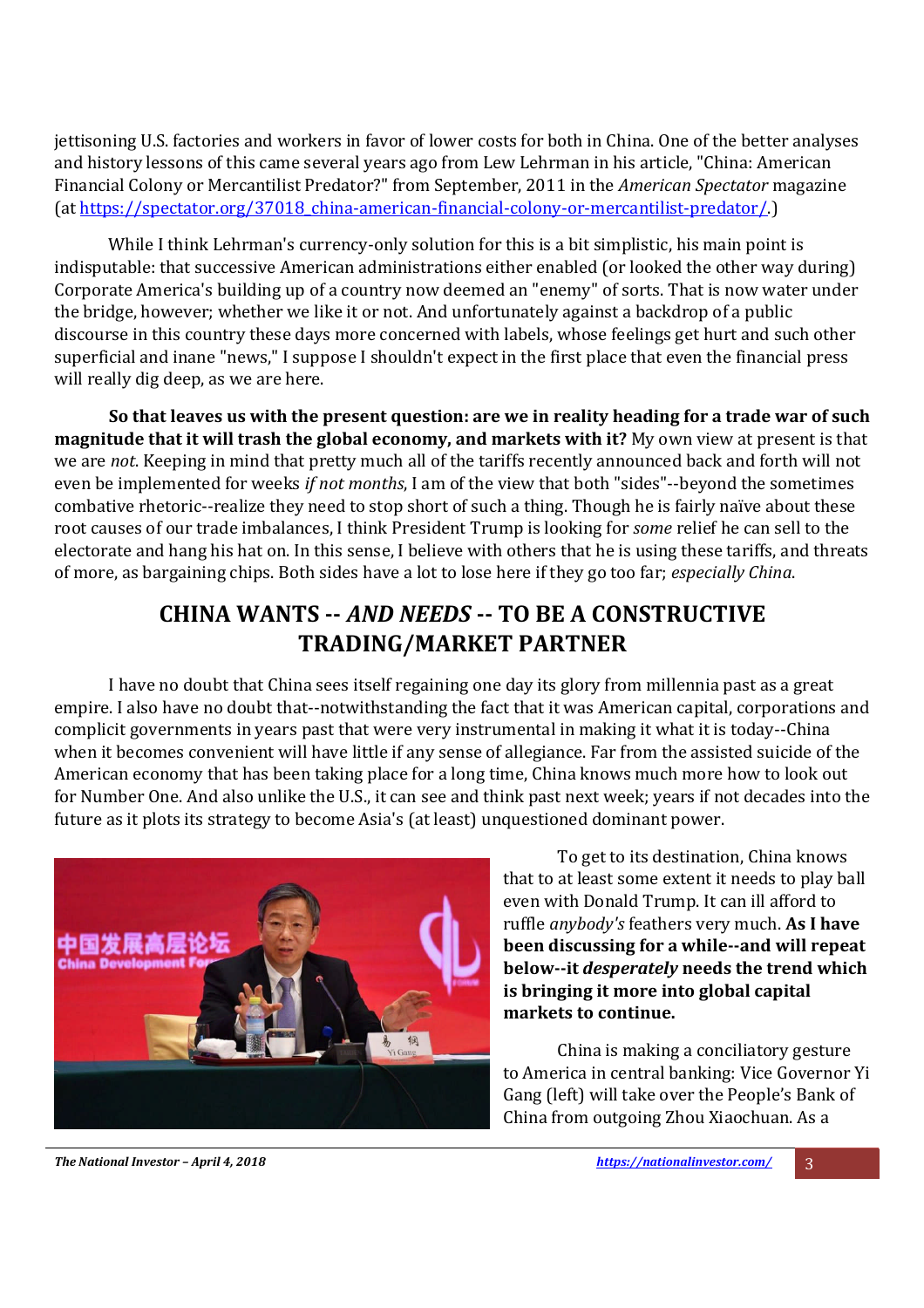jettisoning U.S. factories and workers in favor of lower costs for both in China. One of the better analyses and history lessons of this came several years ago from Lew Lehrman in his article, "China: American Financial Colony or Mercantilist Predator?" from September, 2011 in the *American Spectator* magazine (at https://spectator.org/37018\_china-american-financial-colony-or-mercantilist-predator/.)

While I think Lehrman's currency-only solution for this is a bit simplistic, his main point is indisputable: that successive American administrations either enabled (or looked the other way during) Corporate America's building up of a country now deemed an "enemy" of sorts. That is now water under the bridge, however; whether we like it or not. And unfortunately against a backdrop of a public discourse in this country these days more concerned with labels, whose feelings get hurt and such other superficial and inane "news," I suppose I shouldn't expect in the first place that even the financial press will really dig deep, as we are here.

**So that leaves us with the present question: are we in reality heading for a trade war of such magnitude that it will trash the global economy, and markets with it?** My own view at present is that we are *not*. Keeping in mind that pretty much all of the tariffs recently announced back and forth will not even be implemented for weeks *if not months*, I am of the view that both "sides"--beyond the sometimes combative rhetoric--realize they need to stop short of such a thing. Though he is fairly naïve about these root causes of our trade imbalances, I think President Trump is looking for *some* relief he can sell to the electorate and hang his hat on. In this sense, I believe with others that he is using these tariffs, and threats of more, as bargaining chips. Both sides have a lot to lose here if they go too far; *especially China*.

## **CHINA WANTS --** *AND NEEDS* **-- TO BE A CONSTRUCTIVE TRADING/MARKET PARTNER**

I have no doubt that China sees itself regaining one day its glory from millennia past as a great empire. I also have no doubt that--notwithstanding the fact that it was American capital, corporations and complicit governments in years past that were very instrumental in making it what it is today--China when it becomes convenient will have little if any sense of allegiance. Far from the assisted suicide of the American economy that has been taking place for a long time, China knows much more how to look out for Number One. And also unlike the U.S., it can see and think past next week; years if not decades into the future as it plots its strategy to become Asia's (at least) unquestioned dominant power.



To get to its destination, China knows that to at least some extent it needs to play ball even with Donald Trump. It can ill afford to ruffle *anybody's* feathers very much. **As I have been discussing for a while--and will repeat below--it** *desperately* **needs the trend which is bringing it more into global capital markets to continue.**

China is making a conciliatory gesture to America in central banking: Vice Governor Yi Gang (left) will take over the People's Bank of China from outgoing Zhou Xiaochuan. As a

*The National Investor – April 4, 2018 https://nationalinvestor.com/* 3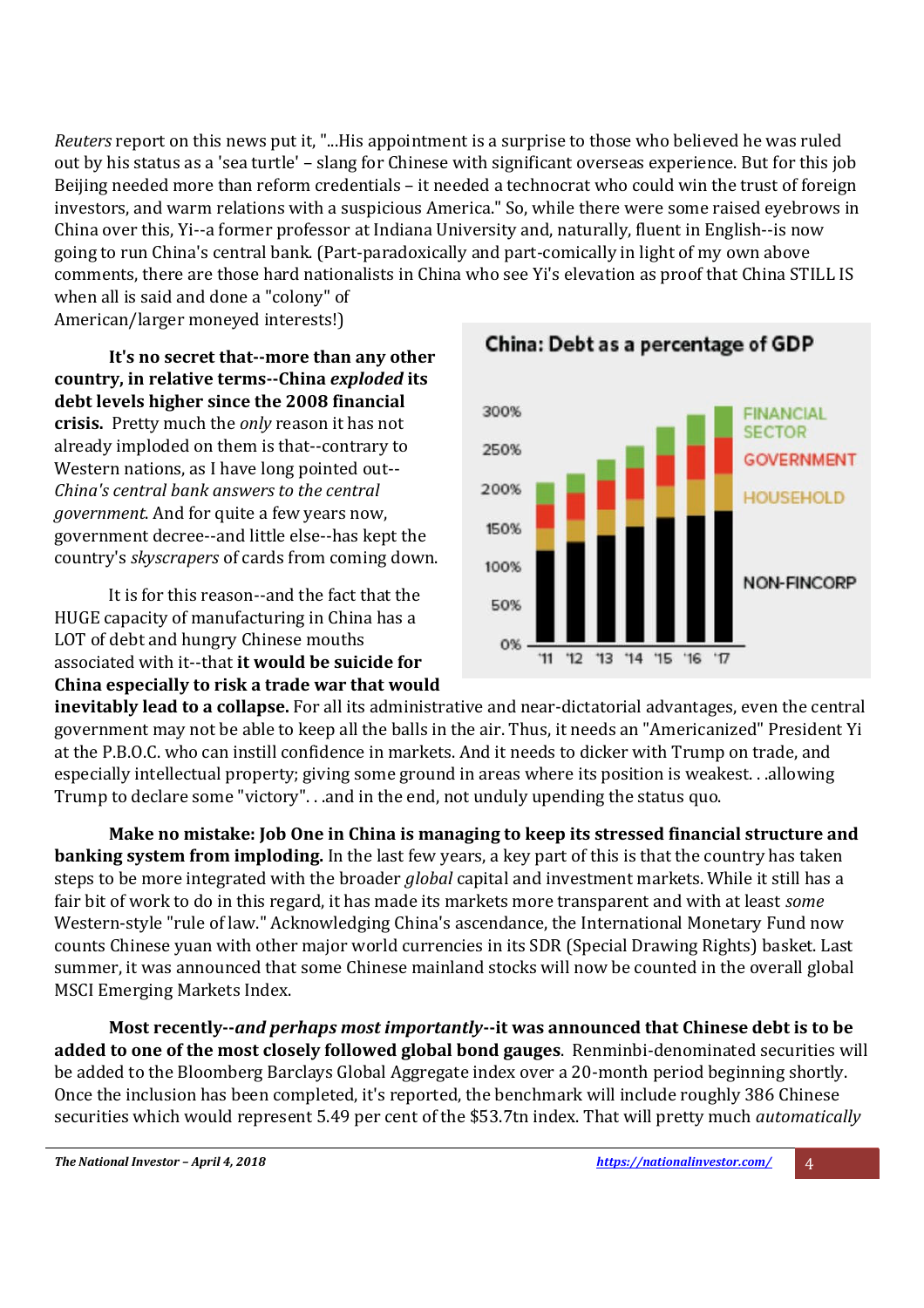*Reuters* report on this news put it, "...His appointment is a surprise to those who believed he was ruled out by his status as a 'sea turtle' – slang for Chinese with significant overseas experience. But for this job Beijing needed more than reform credentials – it needed a technocrat who could win the trust of foreign investors, and warm relations with a suspicious America." So, while there were some raised eyebrows in China over this, Yi--a former professor at Indiana University and, naturally, fluent in English--is now going to run China's central bank. (Part-paradoxically and part-comically in light of my own above comments, there are those hard nationalists in China who see Yi's elevation as proof that China STILL IS when all is said and done a "colony" of

American/larger moneyed interests!)

**It's no secret that--more than any other country, in relative terms--China** *exploded* **its debt levels higher since the 2008 financial crisis.** Pretty much the *only* reason it has not already imploded on them is that--contrary to Western nations, as I have long pointed out-- *China's central bank answers to the central government*. And for quite a few years now, government decree--and little else--has kept the country's *skyscrapers* of cards from coming down.

It is for this reason--and the fact that the HUGE capacity of manufacturing in China has a LOT of debt and hungry Chinese mouths associated with it--that **it would be suicide for China especially to risk a trade war that would**



China: Debt as a percentage of GDP

**inevitably lead to a collapse.** For all its administrative and near-dictatorial advantages, even the central government may not be able to keep all the balls in the air. Thus, it needs an "Americanized" President Yi at the P.B.O.C. who can instill confidence in markets. And it needs to dicker with Trump on trade, and especially intellectual property; giving some ground in areas where its position is weakest. . .allowing Trump to declare some "victory". . .and in the end, not unduly upending the status quo.

**Make no mistake: Job One in China is managing to keep its stressed financial structure and banking system from imploding.** In the last few years, a key part of this is that the country has taken steps to be more integrated with the broader *global* capital and investment markets. While it still has a fair bit of work to do in this regard, it has made its markets more transparent and with at least *some* Western-style "rule of law." Acknowledging China's ascendance, the International Monetary Fund now counts Chinese yuan with other major world currencies in its SDR (Special Drawing Rights) basket. Last summer, it was announced that some Chinese mainland stocks will now be counted in the overall global MSCI Emerging Markets Index.

**Most recently--***and perhaps most importantly***--it was announced that Chinese debt is to be added to one of the most closely followed global bond gauges**. Renminbi-denominated securities will be added to the Bloomberg Barclays Global Aggregate index over a 20-month period beginning shortly. Once the inclusion has been completed, it's reported, the benchmark will include roughly 386 Chinese securities which would represent 5.49 per cent of the \$53.7tn index. That will pretty much *automatically*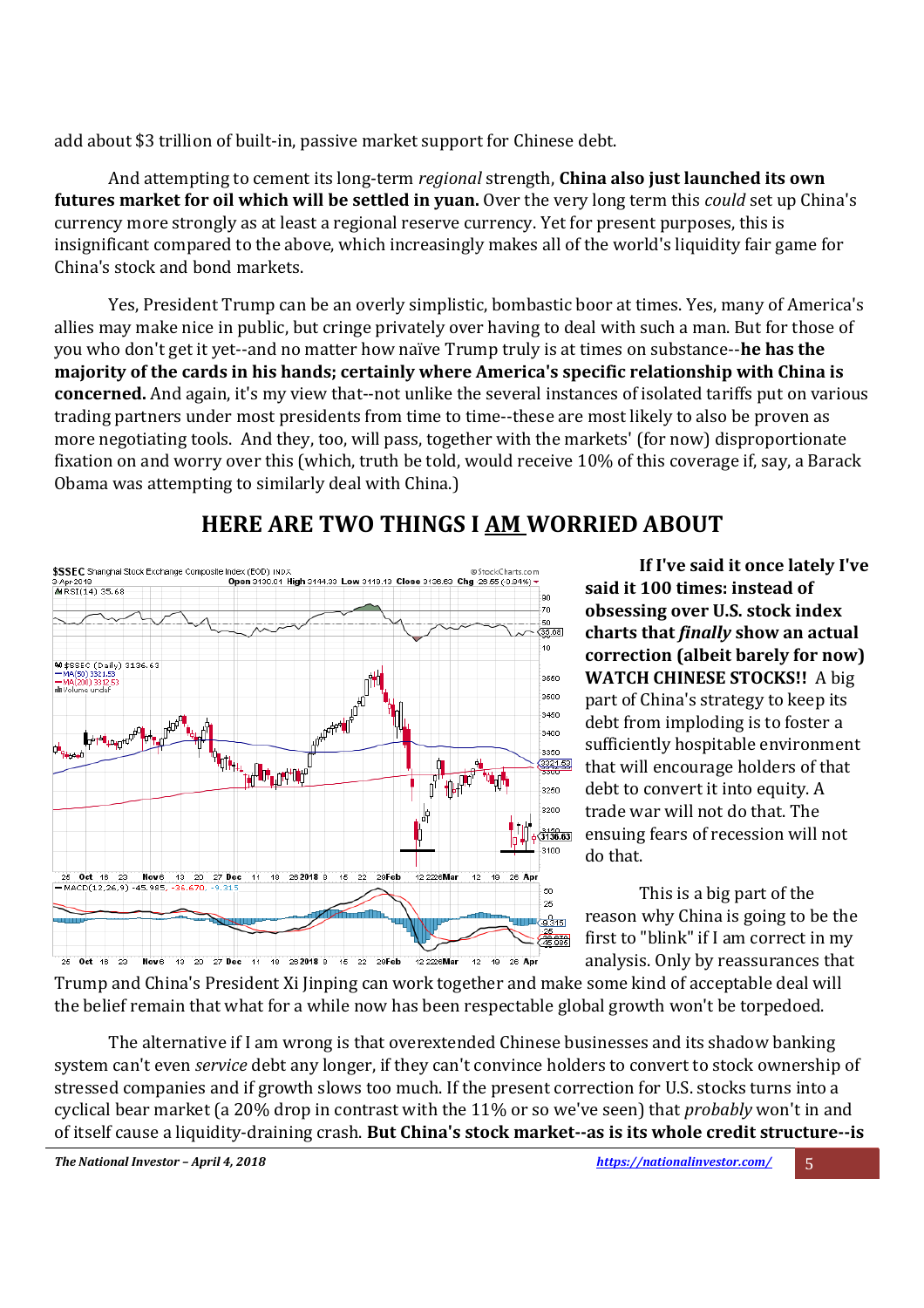add about \$3 trillion of built-in, passive market support for Chinese debt.

And attempting to cement its long-term *regional* strength, **China also just launched its own futures market for oil which will be settled in yuan.** Over the very long term this *could* set up China's currency more strongly as at least a regional reserve currency. Yet for present purposes, this is insignificant compared to the above, which increasingly makes all of the world's liquidity fair game for China's stock and bond markets.

Yes, President Trump can be an overly simplistic, bombastic boor at times. Yes, many of America's allies may make nice in public, but cringe privately over having to deal with such a man. But for those of you who don't get it yet--and no matter how naïve Trump truly is at times on substance--**he has the majority of the cards in his hands; certainly where America's specific relationship with China is concerned.** And again, it's my view that--not unlike the several instances of isolated tariffs put on various trading partners under most presidents from time to time--these are most likely to also be proven as more negotiating tools. And they, too, will pass, together with the markets' (for now) disproportionate fixation on and worry over this (which, truth be told, would receive 10% of this coverage if, say, a Barack Obama was attempting to similarly deal with China.)



## **HERE ARE TWO THINGS I AM WORRIED ABOUT**

**If I've said it once lately I've said it 100 times: instead of obsessing over U.S. stock index charts that** *finally* **show an actual correction (albeit barely for now) WATCH CHINESE STOCKS!!** A big part of China's strategy to keep its debt from imploding is to foster a sufficiently hospitable environment that will encourage holders of that debt to convert it into equity. A trade war will not do that. The ensuing fears of recession will not do that.

This is a big part of the reason why China is going to be the first to "blink" if I am correct in my analysis. Only by reassurances that

Trump and China's President Xi Jinping can work together and make some kind of acceptable deal will the belief remain that what for a while now has been respectable global growth won't be torpedoed.

The alternative if I am wrong is that overextended Chinese businesses and its shadow banking system can't even *service* debt any longer, if they can't convince holders to convert to stock ownership of stressed companies and if growth slows too much. If the present correction for U.S. stocks turns into a cyclical bear market (a 20% drop in contrast with the 11% or so we've seen) that *probably* won't in and of itself cause a liquidity-draining crash. **But China's stock market--as is its whole credit structure--is**